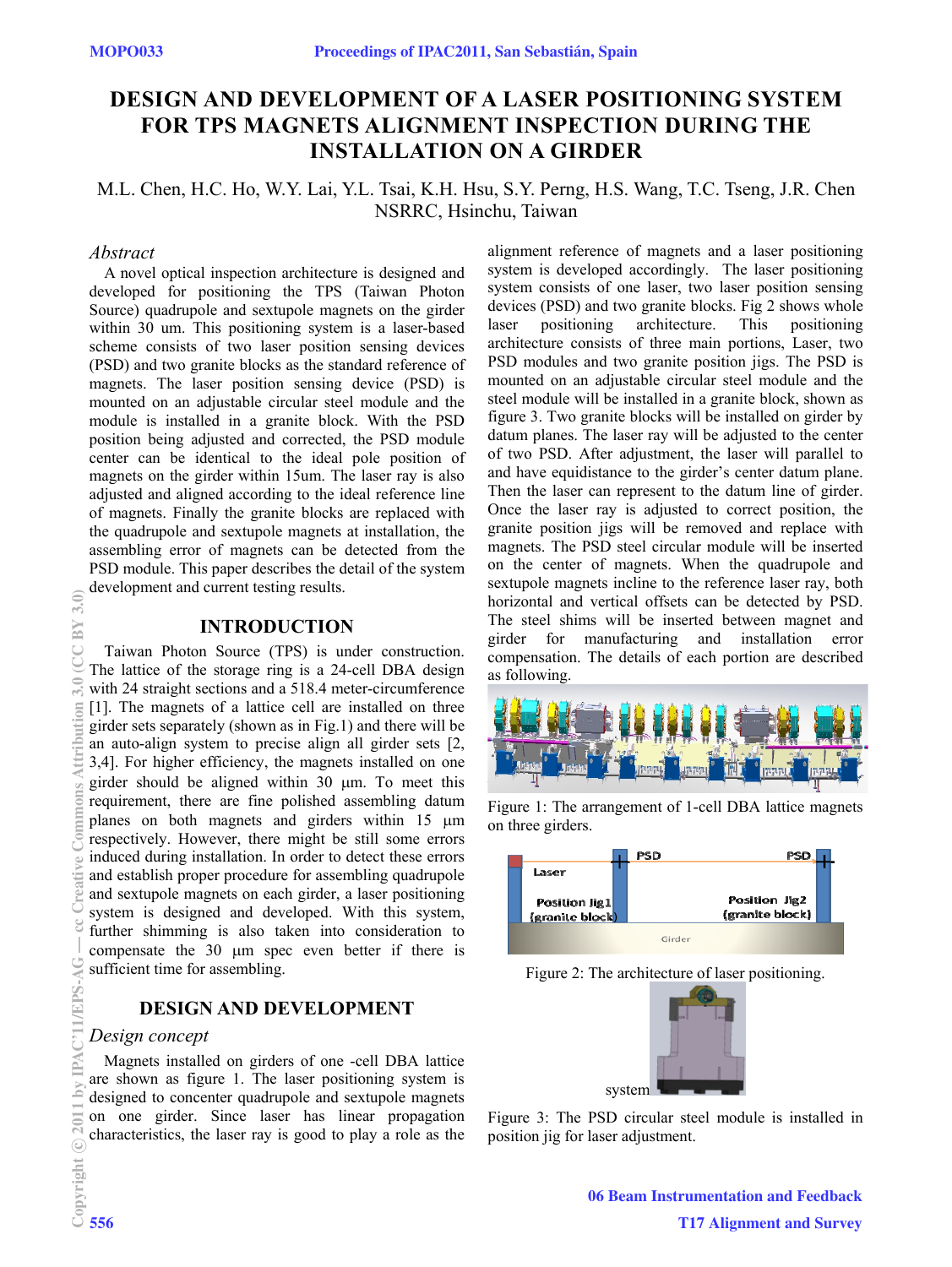# **DESIGN AND DEVELOPMENT OF A LASER POSITIONING SYSTEM FOR TPS MAGNETS ALIGNMENT INSPECTION DURING THE INSTALLATION ON A GIRDER**

# M.L. Chen, H.C. Ho, W.Y. Lai, Y.L. Tsai, K.H. Hsu, S.Y. Perng, H.S. Wang, T.C. Tseng, J.R. Chen NSRRC, Hsinchu, Taiwan

### *Abstract*

A novel optical inspection architecture is designed and developed for positioning the TPS (Taiwan Photon Source) quadrupole and sextupole magnets on the girder within 30 um. This positioning system is a laser-based scheme consists of two laser position sensing devices (PSD) and two granite blocks as the standard reference of magnets. The laser position sensing device (PSD) is mounted on an adjustable circular steel module and the module is installed in a granite block. With the PSD position being adjusted and corrected, the PSD module center can be identical to the ideal pole position of magnets on the girder within 15um. The laser ray is also adjusted and aligned according to the ideal reference line of magnets. Finally the granite blocks are replaced with the quadrupole and sextupole magnets at installation, the assembling error of magnets can be detected from the PSD module. This paper describes the detail of the system development and current testing results.

## **INTRODUCTION**

Taiwan Photon Source (TPS) is under construction. The lattice of the storage ring is a 24-cell DBA design with 24 straight sections and a 518.4 meter-circumference [1]. The magnets of a lattice cell are installed on three girder sets separately (shown as in Fig.1) and there will be an auto-align system to precise align all girder sets [2, 3,4]. For higher efficiency, the magnets installed on one girder should be aligned within  $30 \mu m$ . To meet this requirement, there are fine polished assembling datum planes on both magnets and girders within 15  $\mu$ m respectively. However, there might be still some errors induced during installation. In order to detect these errors and establish proper procedure for assembling quadrupole and sextupole magnets on each girder, a laser positioning system is designed and developed. With this system, further shimming is also taken into consideration to compensate the 30 um spec even better if there is sufficient time for assembling.

# **DESIGN AND DEVELOPMENT**

### *Design concept*

Magnets installed on girders of one -cell DBA lattice are shown as figure 1. The laser positioning system is designed to concenter quadrupole and sextupole magnets on one girder. Since laser has linear propagation characteristics, the laser ray is good to play a role as the alignment reference of magnets and a laser positioning system is developed accordingly. The laser positioning system consists of one laser, two laser position sensing devices (PSD) and two granite blocks. Fig 2 shows whole laser positioning architecture. This positioning architecture consists of three main portions, Laser, two PSD modules and two granite position jigs. The PSD is mounted on an adjustable circular steel module and the steel module will be installed in a granite block, shown as figure 3. Two granite blocks will be installed on girder by datum planes. The laser ray will be adjusted to the center of two PSD. After adjustment, the laser will parallel to and have equidistance to the girder's center datum plane. Then the laser can represent to the datum line of girder. Once the laser ray is adjusted to correct position, the granite position jigs will be removed and replace with magnets. The PSD steel circular module will be inserted on the center of magnets. When the quadrupole and sextupole magnets incline to the reference laser ray, both horizontal and vertical offsets can be detected by PSD. The steel shims will be inserted between magnet and girder for manufacturing and installation error compensation. The details of each portion are described as following.



Figure 1: The arrangement of 1-cell DBA lattice magnets on three girders.



Figure 2: The architecture of laser positioning.



Figure 3: The PSD circular steel module is installed in position jig for laser adjustment.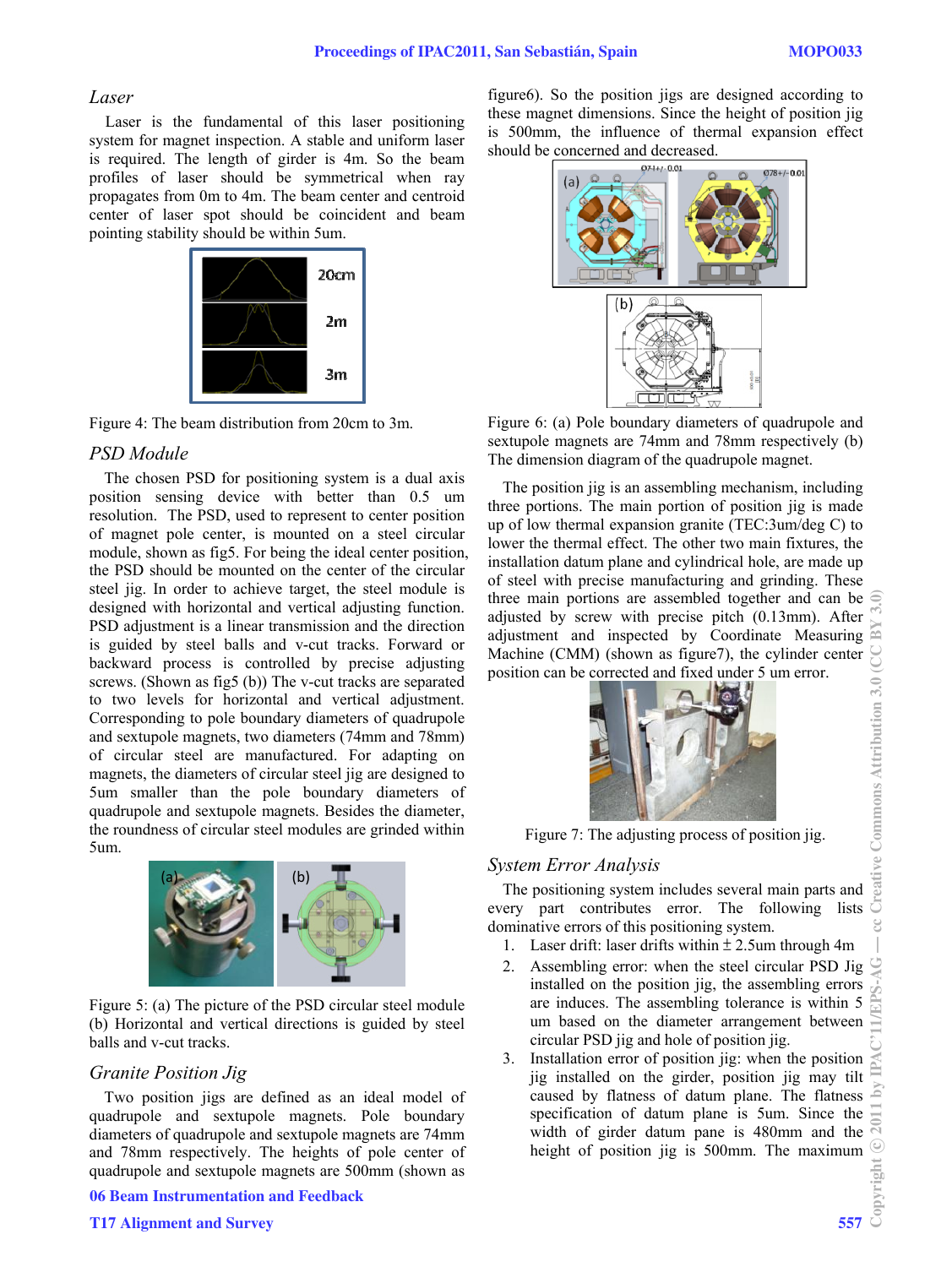#### *Laser*

Laser is the fundamental of this laser positioning system for magnet inspection. A stable and uniform laser is required. The length of girder is 4m. So the beam profiles of laser should be symmetrical when ray propagates from 0m to 4m. The beam center and centroid center of laser spot should be coincident and beam pointing stability should be within 5um.



Figure 4: The beam distribution from 20cm to 3m.

#### *PSD Module*

The chosen PSD for positioning system is a dual axis position sensing device with better than 0.5 um resolution. The PSD, used to represent to center position of magnet pole center, is mounted on a steel circular module, shown as fig5. For being the ideal center position, the PSD should be mounted on the center of the circular steel jig. In order to achieve target, the steel module is designed with horizontal and vertical adjusting function. PSD adjustment is a linear transmission and the direction is guided by steel balls and v-cut tracks. Forward or backward process is controlled by precise adjusting screws. (Shown as fig5 (b)) The v-cut tracks are separated to two levels for horizontal and vertical adjustment. Corresponding to pole boundary diameters of quadrupole and sextupole magnets, two diameters (74mm and 78mm) of circular steel are manufactured. For adapting on magnets, the diameters of circular steel jig are designed to 5um smaller than the pole boundary diameters of quadrupole and sextupole magnets. Besides the diameter, the roundness of circular steel modules are grinded within 5um.



Figure 5: (a) The picture of the PSD circular steel module (b) Horizontal and vertical directions is guided by steel balls and v-cut tracks.

#### *Granite Position Jig*

Two position jigs are defined as an ideal model of quadrupole and sextupole magnets. Pole boundary diameters of quadrupole and sextupole magnets are 74mm and 78mm respectively. The heights of pole center of quadrupole and sextupole magnets are 500mm (shown as

06 Beam Instrumentation and Feedback

#### T17 Alignment and Survey 557

figure6). So the position jigs are designed according to these magnet dimensions. Since the height of position jig is 500mm, the influence of thermal expansion effect should be concerned and decreased.



Figure 6: (a) Pole boundary diameters of quadrupole and sextupole magnets are 74mm and 78mm respectively (b) The dimension diagram of the quadrupole magnet.

The position jig is an assembling mechanism, including three portions. The main portion of position jig is made up of low thermal expansion granite (TEC:3um/deg C) to lower the thermal effect. The other two main fixtures, the installation datum plane and cylindrical hole, are made up of steel with precise manufacturing and grinding. These three main portions are assembled together and can be adjusted by screw with precise pitch (0.13mm). After adjustment and inspected by Coordinate Measuring Machine (CMM) (shown as figure7), the cylinder center position can be corrected and fixed under 5 um error.



Figure 7: The adjusting process of position jig.

# *System Error Analysis*

The positioning system includes several main parts and every part contributes error. The following lists dominative errors of this positioning system.

- 1. Laser drift: laser drifts within  $\pm$  2.5um through 4m
- 2. Assembling error: when the steel circular PSD Jig installed on the position jig, the assembling errors are induces. The assembling tolerance is within 5 um based on the diameter arrangement between circular PSD jig and hole of position jig.
- 3. Installation error of position jig: when the position jig installed on the girder, position jig may tilt caused by flatness of datum plane. The flatness specification of datum plane is 5um. Since the width of girder datum pane is 480mm and the height of position jig is 500mm. The maximum